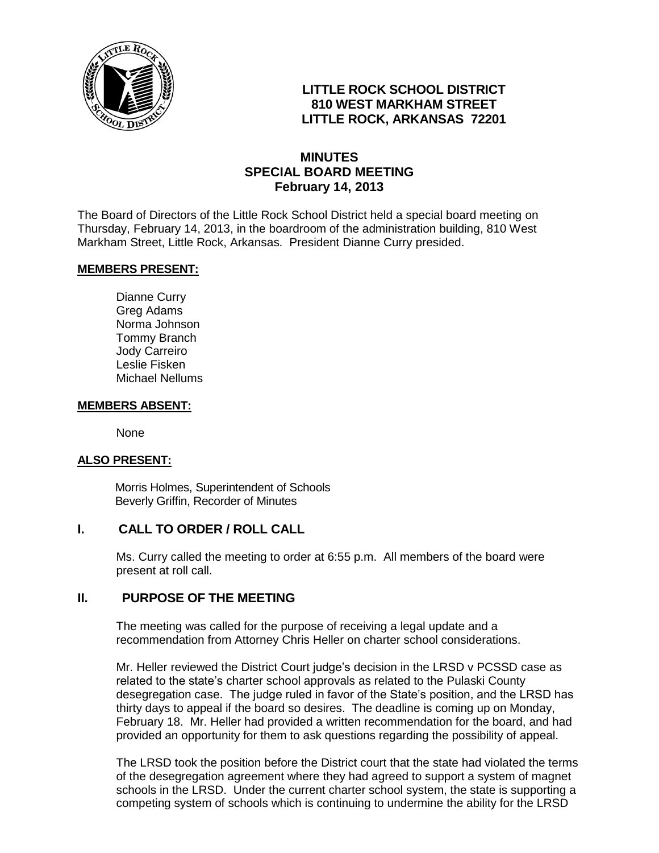

# **LITTLE ROCK SCHOOL DISTRICT 810 WEST MARKHAM STREET LITTLE ROCK, ARKANSAS 72201**

## **MINUTES SPECIAL BOARD MEETING February 14, 2013**

The Board of Directors of the Little Rock School District held a special board meeting on Thursday, February 14, 2013, in the boardroom of the administration building, 810 West Markham Street, Little Rock, Arkansas. President Dianne Curry presided.

## **MEMBERS PRESENT:**

Dianne Curry Greg Adams Norma Johnson Tommy Branch Jody Carreiro Leslie Fisken Michael Nellums

#### **MEMBERS ABSENT:**

None

#### **ALSO PRESENT:**

 Morris Holmes, Superintendent of Schools Beverly Griffin, Recorder of Minutes

## **I. CALL TO ORDER / ROLL CALL**

Ms. Curry called the meeting to order at 6:55 p.m. All members of the board were present at roll call.

## **II. PURPOSE OF THE MEETING**

The meeting was called for the purpose of receiving a legal update and a recommendation from Attorney Chris Heller on charter school considerations.

Mr. Heller reviewed the District Court judge's decision in the LRSD v PCSSD case as related to the state's charter school approvals as related to the Pulaski County desegregation case. The judge ruled in favor of the State's position, and the LRSD has thirty days to appeal if the board so desires. The deadline is coming up on Monday, February 18. Mr. Heller had provided a written recommendation for the board, and had provided an opportunity for them to ask questions regarding the possibility of appeal.

The LRSD took the position before the District court that the state had violated the terms of the desegregation agreement where they had agreed to support a system of magnet schools in the LRSD. Under the current charter school system, the state is supporting a competing system of schools which is continuing to undermine the ability for the LRSD